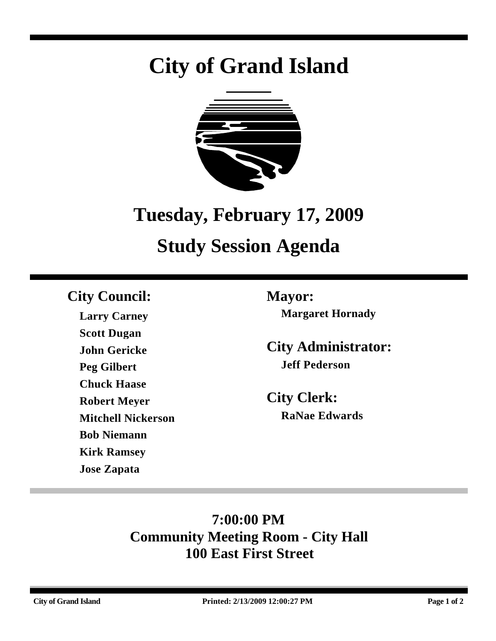## **City of Grand Island**



# **Tuesday, February 17, 2009**

## **Study Session Agenda**

## **City Council: Mayor:**

**Larry Carney Scott Dugan John Gericke Peg Gilbert Chuck Haase Robert Meyer Mitchell Nickerson Bob Niemann Kirk Ramsey Jose Zapata**

**Margaret Hornady**

**City Administrator: Jeff Pederson**

**City Clerk: RaNae Edwards**

## **7:00:00 PM Community Meeting Room - City Hall 100 East First Street**